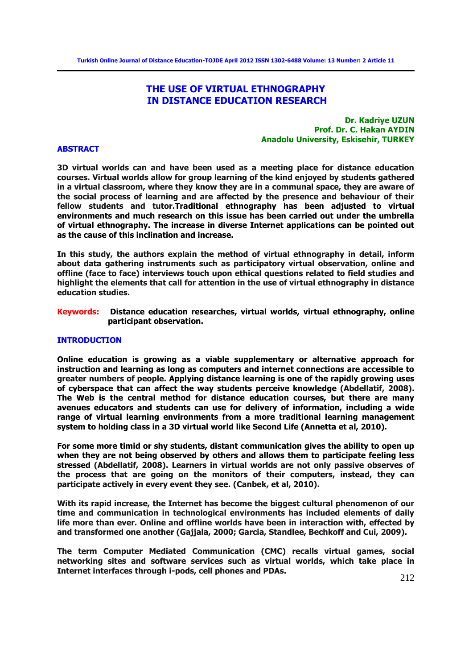# **THE USE OF VIRTUAL ETHNOGRAPHY IN DISTANCE EDUCATION RESEARCH**

## **Dr. Kadriye UZUN Prof. Dr. C. Hakan AYDIN Anadolu University, Eskisehir, TURKEY**

#### **ABSTRACT**

**3D virtual worlds can and have been used as a meeting place for distance education courses. Virtual worlds allow for group learning of the kind enjoyed by students gathered in a virtual classroom, where they know they are in a communal space, they are aware of the social process of learning and are affected by the presence and behaviour of their fellow students and tutor.Traditional ethnography has been adjusted to virtual environments and much research on this issue has been carried out under the umbrella of virtual ethnography. The increase in diverse Internet applications can be pointed out as the cause of this inclination and increase.** 

**In this study, the authors explain the method of virtual ethnography in detail, inform about data gathering instruments such as participatory virtual observation, online and offline (face to face) interviews touch upon ethical questions related to field studies and highlight the elements that call for attention in the use of virtual ethnography in distance education studies.** 

**Keywords: Distance education researches, virtual worlds, virtual ethnography, online participant observation.** 

## **INTRODUCTION**

**Online education is growing as a viable supplementary or alternative approach for instruction and learning as long as computers and internet connections are accessible to greater numbers of people. Applying distance learning is one of the rapidly growing uses of cyberspace that can affect the way students perceive knowledge (Abdellatif, 2008). The Web is the central method for distance education courses, but there are many avenues educators and students can use for delivery of information, including a wide range of virtual learning environments from a more traditional learning management system to holding class in a 3D virtual world like Second Life (Annetta et al, 2010).** 

**For some more timid or shy students, distant communication gives the ability to open up when they are not being observed by others and allows them to participate feeling less stressed (Abdellatif, 2008). Learners in virtual worlds are not only passive observes of the process that are going on the monitors of their computers, instead, they can participate actively in every event they see. (Canbek, et al, 2010).** 

**With its rapid increase, the Internet has become the biggest cultural phenomenon of our time and communication in technological environments has included elements of daily life more than ever. Online and offline worlds have been in interaction with, effected by and transformed one another (Gajjala, 2000; Garcia, Standlee, Bechkoff and Cui, 2009).** 

**The term Computer Mediated Communication (CMC) recalls virtual games, social networking sites and software services such as virtual worlds, which take place in Internet interfaces through i-pods, cell phones and PDAs.**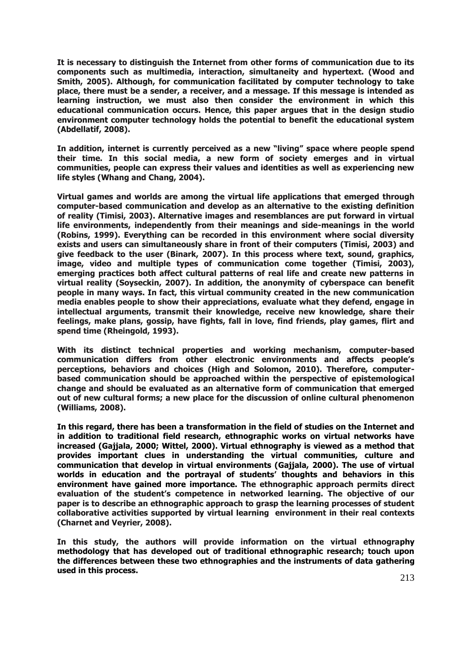**It is necessary to distinguish the Internet from other forms of communication due to its components such as multimedia, interaction, simultaneity and hypertext. (Wood and Smith, 2005). Although, for communication facilitated by computer technology to take place, there must be a sender, a receiver, and a message. If this message is intended as learning instruction, we must also then consider the environment in which this educational communication occurs. Hence, this paper argues that in the design studio environment computer technology holds the potential to benefit the educational system (Abdellatif, 2008).** 

**In addition, internet is currently perceived as a new "living" space where people spend their time. In this social media, a new form of society emerges and in virtual communities, people can express their values and identities as well as experiencing new life styles (Whang and Chang, 2004).** 

**Virtual games and worlds are among the virtual life applications that emerged through computer-based communication and develop as an alternative to the existing definition of reality (Timisi, 2003). Alternative images and resemblances are put forward in virtual life environments, independently from their meanings and side-meanings in the world (Robins, 1999). Everything can be recorded in this environment where social diversity exists and users can simultaneously share in front of their computers (Timisi, 2003) and give feedback to the user (Binark, 2007). In this process where text, sound, graphics, image, video and multiple types of communication come together (Timisi, 2003), emerging practices both affect cultural patterns of real life and create new patterns in virtual reality (Soyseckin, 2007). In addition, the anonymity of cyberspace can benefit people in many ways. In fact, this virtual community created in the new communication media enables people to show their appreciations, evaluate what they defend, engage in intellectual arguments, transmit their knowledge, receive new knowledge, share their feelings, make plans, gossip, have fights, fall in love, find friends, play games, flirt and spend time (Rheingold, 1993).** 

**With its distinct technical properties and working mechanism, computer-based communication differs from other electronic environments and affects people's perceptions, behaviors and choices (High and Solomon, 2010). Therefore, computerbased communication should be approached within the perspective of epistemological change and should be evaluated as an alternative form of communication that emerged out of new cultural forms; a new place for the discussion of online cultural phenomenon (Williams, 2008).** 

**In this regard, there has been a transformation in the field of studies on the Internet and in addition to traditional field research, ethnographic works on virtual networks have increased (Gajjala, 2000; Wittel, 2000). Virtual ethnography is viewed as a method that provides important clues in understanding the virtual communities, culture and communication that develop in virtual environments (Gajjala, 2000). The use of virtual worlds in education and the portrayal of students' thoughts and behaviors in this environment have gained more importance. The ethnographic approach permits direct evaluation of the student's competence in networked learning. The objective of our paper is to describe an ethnographic approach to grasp the learning processes of student collaborative activities supported by virtual learning environment in their real contexts (Charnet and Veyrier, 2008).** 

**In this study, the authors will provide information on the virtual ethnography methodology that has developed out of traditional ethnographic research; touch upon the differences between these two ethnographies and the instruments of data gathering used in this process.**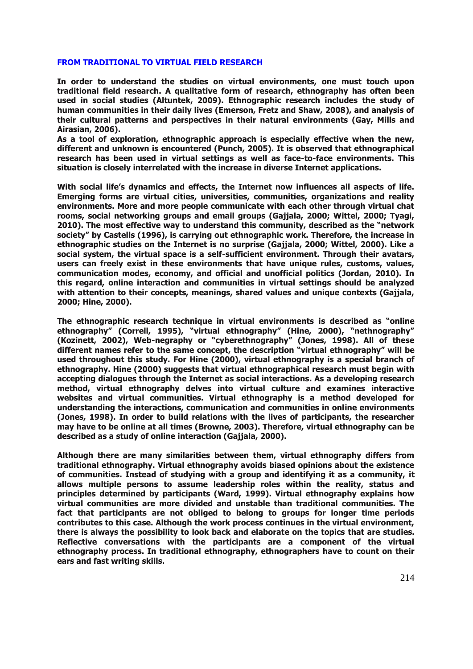## **FROM TRADITIONAL TO VIRTUAL FIELD RESEARCH**

**In order to understand the studies on virtual environments, one must touch upon traditional field research. A qualitative form of research, ethnography has often been used in social studies (Altuntek, 2009). Ethnographic research includes the study of human communities in their daily lives (Emerson, Fretz and Shaw, 2008), and analysis of their cultural patterns and perspectives in their natural environments (Gay, Mills and Airasian, 2006).** 

**As a tool of exploration, ethnographic approach is especially effective when the new, different and unknown is encountered (Punch, 2005). It is observed that ethnographical research has been used in virtual settings as well as face-to-face environments. This situation is closely interrelated with the increase in diverse Internet applications.** 

**With social life's dynamics and effects, the Internet now influences all aspects of life. Emerging forms are virtual cities, universities, communities, organizations and reality environments. More and more people communicate with each other through virtual chat rooms, social networking groups and email groups (Gajjala, 2000; Wittel, 2000; Tyagi, 2010). The most effective way to understand this community, described as the "network society" by Castells (1996), is carrying out ethnographic work. Therefore, the increase in ethnographic studies on the Internet is no surprise (Gajjala, 2000; Wittel, 2000). Like a social system, the virtual space is a self-sufficient environment. Through their avatars, users can freely exist in these environments that have unique rules, customs, values, communication modes, economy, and official and unofficial politics (Jordan, 2010). In this regard, online interaction and communities in virtual settings should be analyzed with attention to their concepts, meanings, shared values and unique contexts (Gajjala, 2000; Hine, 2000).** 

**The ethnographic research technique in virtual environments is described as "online ethnography" (Correll, 1995), "virtual ethnography" (Hine, 2000), "nethnography" (Kozinett, 2002), Web-negraphy or "cyberethnography" (Jones, 1998). All of these different names refer to the same concept, the description "virtual ethnography" will be used throughout this study. For Hine (2000), virtual ethnography is a special branch of ethnography. Hine (2000) suggests that virtual ethnographical research must begin with accepting dialogues through the Internet as social interactions. As a developing research method, virtual ethnography delves into virtual culture and examines interactive websites and virtual communities. Virtual ethnography is a method developed for understanding the interactions, communication and communities in online environments (Jones, 1998). In order to build relations with the lives of participants, the researcher may have to be online at all times (Browne, 2003). Therefore, virtual ethnography can be described as a study of online interaction (Gajjala, 2000).** 

**Although there are many similarities between them, virtual ethnography differs from traditional ethnography. Virtual ethnography avoids biased opinions about the existence of communities. Instead of studying with a group and identifying it as a community, it allows multiple persons to assume leadership roles within the reality, status and principles determined by participants (Ward, 1999). Virtual ethnography explains how virtual communities are more divided and unstable than traditional communities. The fact that participants are not obliged to belong to groups for longer time periods contributes to this case. Although the work process continues in the virtual environment, there is always the possibility to look back and elaborate on the topics that are studies. Reflective conversations with the participants are a component of the virtual ethnography process. In traditional ethnography, ethnographers have to count on their ears and fast writing skills.**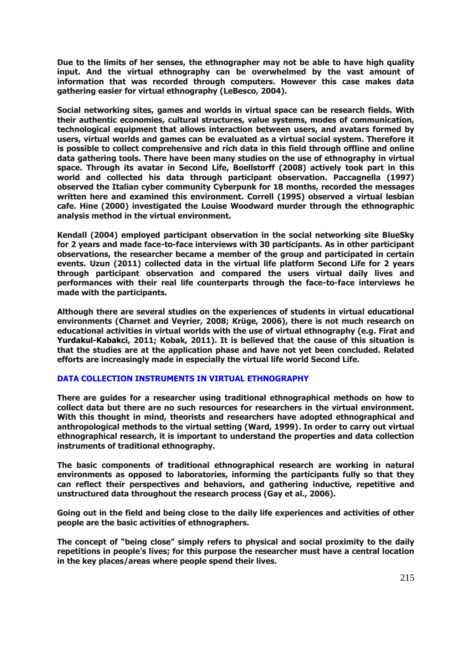**Due to the limits of her senses, the ethnographer may not be able to have high quality input. And the virtual ethnography can be overwhelmed by the vast amount of information that was recorded through computers. However this case makes data gathering easier for virtual ethnography (LeBesco, 2004).** 

**Social networking sites, games and worlds in virtual space can be research fields. With their authentic economies, cultural structures, value systems, modes of communication, technological equipment that allows interaction between users, and avatars formed by users, virtual worlds and games can be evaluated as a virtual social system. Therefore it is possible to collect comprehensive and rich data in this field through offline and online data gathering tools. There have been many studies on the use of ethnography in virtual space. Through its avatar in Second Life, Boellstorff (2008) actively took part in this world and collected his data through participant observation. Paccagnella (1997) observed the Italian cyber community Cyberpunk for 18 months, recorded the messages written here and examined this environment. Correll (1995) observed a virtual lesbian cafe. Hine (2000) investigated the Louise Woodward murder through the ethnographic analysis method in the virtual environment.** 

**Kendall (2004) employed participant observation in the social networking site BlueSky for 2 years and made face-to-face interviews with 30 participants. As in other participant observations, the researcher became a member of the group and participated in certain events. Uzun (2011) collected data in the virtual life platform Second Life for 2 years through participant observation and compared the users virtual daily lives and performances with their real life counterparts through the face-to-face interviews he made with the participants.** 

**Although there are several studies on the experiences of students in virtual educational environments (Charnet and Veyrier, 2008; Krüge, 2006), there is not much research on educational activities in virtual worlds with the use of virtual ethnography (e.g. Firat and Yurdakul-Kabakci, 2011; Kobak, 2011). It is believed that the cause of this situation is that the studies are at the application phase and have not yet been concluded. Related efforts are increasingly made in especially the virtual life world Second Life.** 

## **DATA COLLECTION INSTRUMENTS IN VIRTUAL ETHNOGRAPHY**

**There are guides for a researcher using traditional ethnographical methods on how to collect data but there are no such resources for researchers in the virtual environment. With this thought in mind, theorists and researchers have adopted ethnographical and anthropological methods to the virtual setting (Ward, 1999). In order to carry out virtual ethnographical research, it is important to understand the properties and data collection instruments of traditional ethnography.** 

**The basic components of traditional ethnographical research are working in natural environments as opposed to laboratories, informing the participants fully so that they can reflect their perspectives and behaviors, and gathering inductive, repetitive and unstructured data throughout the research process (Gay et al., 2006).** 

**Going out in the field and being close to the daily life experiences and activities of other people are the basic activities of ethnographers.** 

**The concept of "being close" simply refers to physical and social proximity to the daily repetitions in people's lives; for this purpose the researcher must have a central location in the key places/areas where people spend their lives.**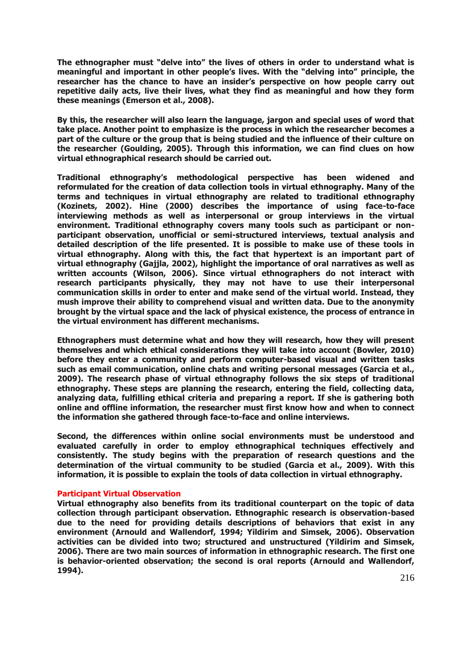**The ethnographer must "delve into" the lives of others in order to understand what is meaningful and important in other people's lives. With the "delving into" principle, the researcher has the chance to have an insider's perspective on how people carry out repetitive daily acts, live their lives, what they find as meaningful and how they form these meanings (Emerson et al., 2008).** 

**By this, the researcher will also learn the language, jargon and special uses of word that take place. Another point to emphasize is the process in which the researcher becomes a part of the culture or the group that is being studied and the influence of their culture on the researcher (Goulding, 2005). Through this information, we can find clues on how virtual ethnographical research should be carried out.** 

**Traditional ethnography's methodological perspective has been widened and reformulated for the creation of data collection tools in virtual ethnography. Many of the terms and techniques in virtual ethnography are related to traditional ethnography (Kozinets, 2002). Hine (2000) describes the importance of using face-to-face interviewing methods as well as interpersonal or group interviews in the virtual environment. Traditional ethnography covers many tools such as participant or nonparticipant observation, unofficial or semi-structured interviews, textual analysis and detailed description of the life presented. It is possible to make use of these tools in virtual ethnography. Along with this, the fact that hypertext is an important part of virtual ethnography (Gajjla, 2002), highlight the importance of oral narratives as well as written accounts (Wilson, 2006). Since virtual ethnographers do not interact with research participants physically, they may not have to use their interpersonal communication skills in order to enter and make send of the virtual world. Instead, they mush improve their ability to comprehend visual and written data. Due to the anonymity brought by the virtual space and the lack of physical existence, the process of entrance in the virtual environment has different mechanisms.** 

**Ethnographers must determine what and how they will research, how they will present themselves and which ethical considerations they will take into account (Bowler, 2010) before they enter a community and perform computer-based visual and written tasks such as email communication, online chats and writing personal messages (Garcia et al., 2009). The research phase of virtual ethnography follows the six steps of traditional ethnography. These steps are planning the research, entering the field, collecting data, analyzing data, fulfilling ethical criteria and preparing a report. If she is gathering both online and offline information, the researcher must first know how and when to connect the information she gathered through face-to-face and online interviews.** 

**Second, the differences within online social environments must be understood and evaluated carefully in order to employ ethnographical techniques effectively and consistently. The study begins with the preparation of research questions and the determination of the virtual community to be studied (Garcia et al., 2009). With this information, it is possible to explain the tools of data collection in virtual ethnography.** 

#### **Participant Virtual Observation**

**Virtual ethnography also benefits from its traditional counterpart on the topic of data collection through participant observation. Ethnographic research is observation-based due to the need for providing details descriptions of behaviors that exist in any environment (Arnould and Wallendorf, 1994; Yildirim and Simsek, 2006). Observation activities can be divided into two; structured and unstructured (Yildirim and Simsek, 2006). There are two main sources of information in ethnographic research. The first one is behavior-oriented observation; the second is oral reports (Arnould and Wallendorf, 1994).**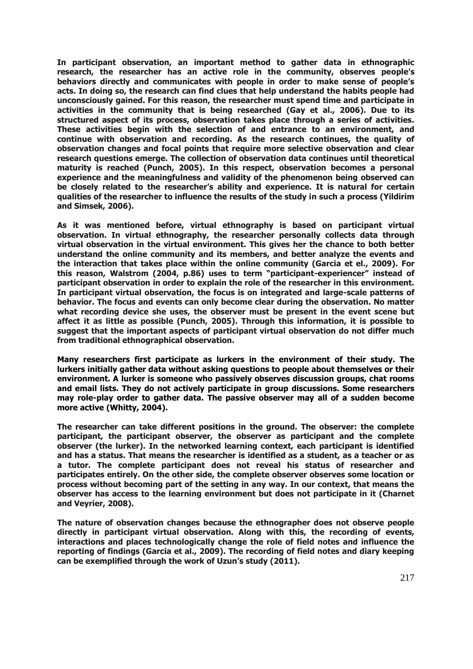**In participant observation, an important method to gather data in ethnographic research, the researcher has an active role in the community, observes people's behaviors directly and communicates with people in order to make sense of people's acts. In doing so, the research can find clues that help understand the habits people had unconsciously gained. For this reason, the researcher must spend time and participate in activities in the community that is being researched (Gay et al., 2006). Due to its structured aspect of its process, observation takes place through a series of activities. These activities begin with the selection of and entrance to an environment, and continue with observation and recording. As the research continues, the quality of observation changes and focal points that require more selective observation and clear research questions emerge. The collection of observation data continues until theoretical maturity is reached (Punch, 2005). In this respect, observation becomes a personal experience and the meaningfulness and validity of the phenomenon being observed can be closely related to the researcher's ability and experience. It is natural for certain qualities of the researcher to influence the results of the study in such a process (Yildirim and Simsek, 2006).** 

**As it was mentioned before, virtual ethnography is based on participant virtual observation. In virtual ethnography, the researcher personally collects data through virtual observation in the virtual environment. This gives her the chance to both better understand the online community and its members, and better analyze the events and the interaction that takes place within the online community (Garcia et el., 2009). For this reason, Walstrom (2004, p.86) uses to term "participant-experiencer" instead of participant observation in order to explain the role of the researcher in this environment. In participant virtual observation, the focus is on integrated and large-scale patterns of behavior. The focus and events can only become clear during the observation. No matter what recording device she uses, the observer must be present in the event scene but affect it as little as possible (Punch, 2005). Through this information, it is possible to suggest that the important aspects of participant virtual observation do not differ much from traditional ethnographical observation.** 

**Many researchers first participate as lurkers in the environment of their study. The lurkers initially gather data without asking questions to people about themselves or their environment. A lurker is someone who passively observes discussion groups, chat rooms and email lists. They do not actively participate in group discussions. Some researchers may role-play order to gather data. The passive observer may all of a sudden become more active (Whitty, 2004).** 

**The researcher can take different positions in the ground. The observer: the complete participant, the participant observer, the observer as participant and the complete observer (the lurker). In the networked learning context, each participant is identified and has a status. That means the researcher is identified as a student, as a teacher or as a tutor. The complete participant does not reveal his status of researcher and participates entirely. On the other side, the complete observer observes some location or process without becoming part of the setting in any way. In our context, that means the observer has access to the learning environment but does not participate in it (Charnet and Veyrier, 2008).** 

**The nature of observation changes because the ethnographer does not observe people directly in participant virtual observation. Along with this, the recording of events, interactions and places technologically change the role of field notes and influence the reporting of findings (Garcia et al., 2009). The recording of field notes and diary keeping can be exemplified through the work of Uzun's study (2011).**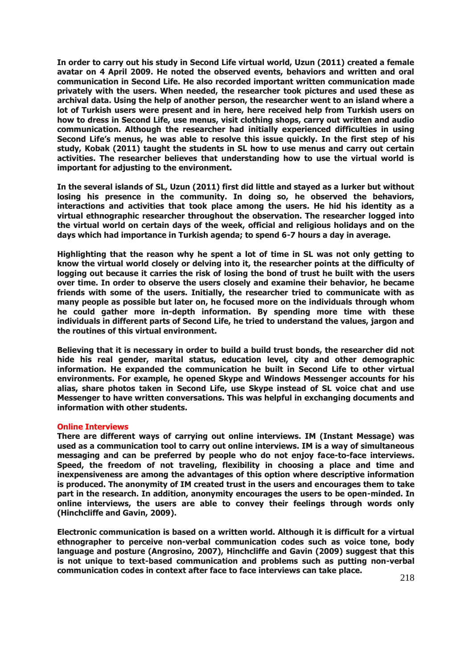**In order to carry out his study in Second Life virtual world, Uzun (2011) created a female avatar on 4 April 2009. He noted the observed events, behaviors and written and oral communication in Second Life. He also recorded important written communication made privately with the users. When needed, the researcher took pictures and used these as archival data. Using the help of another person, the researcher went to an island where a lot of Turkish users were present and in here, here received help from Turkish users on how to dress in Second Life, use menus, visit clothing shops, carry out written and audio communication. Although the researcher had initially experienced difficulties in using Second Life's menus, he was able to resolve this issue quickly. In the first step of his study, Kobak (2011) taught the students in SL how to use menus and carry out certain activities. The researcher believes that understanding how to use the virtual world is important for adjusting to the environment.** 

**In the several islands of SL, Uzun (2011) first did little and stayed as a lurker but without losing his presence in the community. In doing so, he observed the behaviors, interactions and activities that took place among the users. He hid his identity as a virtual ethnographic researcher throughout the observation. The researcher logged into the virtual world on certain days of the week, official and religious holidays and on the days which had importance in Turkish agenda; to spend 6-7 hours a day in average.** 

**Highlighting that the reason why he spent a lot of time in SL was not only getting to know the virtual world closely or delving into it, the researcher points at the difficulty of logging out because it carries the risk of losing the bond of trust he built with the users over time. In order to observe the users closely and examine their behavior, he became friends with some of the users. Initially, the researcher tried to communicate with as many people as possible but later on, he focused more on the individuals through whom he could gather more in-depth information. By spending more time with these individuals in different parts of Second Life, he tried to understand the values, jargon and the routines of this virtual environment.** 

**Believing that it is necessary in order to build a build trust bonds, the researcher did not hide his real gender, marital status, education level, city and other demographic information. He expanded the communication he built in Second Life to other virtual environments. For example, he opened Skype and Windows Messenger accounts for his alias, share photos taken in Second Life, use Skype instead of SL voice chat and use Messenger to have written conversations. This was helpful in exchanging documents and information with other students.**

#### **Online Interviews**

**There are different ways of carrying out online interviews. IM (Instant Message) was used as a communication tool to carry out online interviews. IM is a way of simultaneous messaging and can be preferred by people who do not enjoy face-to-face interviews. Speed, the freedom of not traveling, flexibility in choosing a place and time and inexpensiveness are among the advantages of this option where descriptive information is produced. The anonymity of IM created trust in the users and encourages them to take part in the research. In addition, anonymity encourages the users to be open-minded. In online interviews, the users are able to convey their feelings through words only (Hinchcliffe and Gavin, 2009).** 

**Electronic communication is based on a written world. Although it is difficult for a virtual ethnographer to perceive non-verbal communication codes such as voice tone, body language and posture (Angrosino, 2007), Hinchcliffe and Gavin (2009) suggest that this is not unique to text-based communication and problems such as putting non-verbal communication codes in context after face to face interviews can take place.**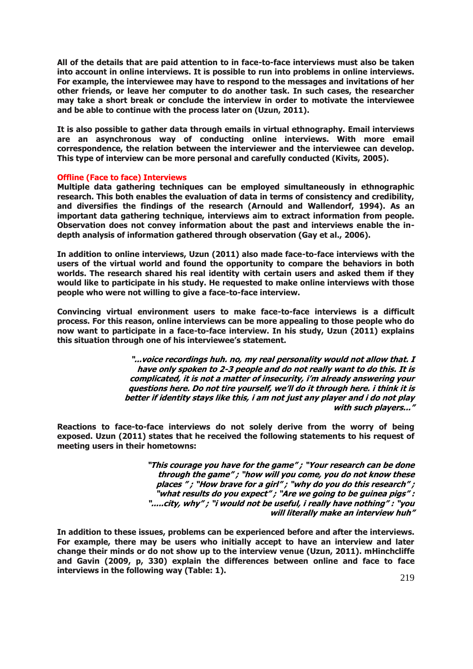**All of the details that are paid attention to in face-to-face interviews must also be taken into account in online interviews. It is possible to run into problems in online interviews. For example, the interviewee may have to respond to the messages and invitations of her other friends, or leave her computer to do another task. In such cases, the researcher may take a short break or conclude the interview in order to motivate the interviewee and be able to continue with the process later on (Uzun, 2011).** 

**It is also possible to gather data through emails in virtual ethnography. Email interviews are an asynchronous way of conducting online interviews. With more email correspondence, the relation between the interviewer and the interviewee can develop. This type of interview can be more personal and carefully conducted (Kivits, 2005).** 

#### **Offline (Face to face) Interviews**

**Multiple data gathering techniques can be employed simultaneously in ethnographic research. This both enables the evaluation of data in terms of consistency and credibility, and diversifies the findings of the research (Arnould and Wallendorf, 1994). As an important data gathering technique, interviews aim to extract information from people. Observation does not convey information about the past and interviews enable the indepth analysis of information gathered through observation (Gay et al., 2006).** 

**In addition to online interviews, Uzun (2011) also made face-to-face interviews with the users of the virtual world and found the opportunity to compare the behaviors in both worlds. The research shared his real identity with certain users and asked them if they would like to participate in his study. He requested to make online interviews with those people who were not willing to give a face-to-face interview.** 

**Convincing virtual environment users to make face-to-face interviews is a difficult process. For this reason, online interviews can be more appealing to those people who do now want to participate in a face-to-face interview. In his study, Uzun (2011) explains this situation through one of his interviewee's statement.**

> **"...voice recordings huh. no, my real personality would not allow that. I have only spoken to 2-3 people and do not really want to do this. It is complicated, it is not a matter of insecurity, i'm already answering your questions here. Do not tire yourself, we'll do it through here. i think it is better if identity stays like this, i am not just any player and i do not play with such players..."**

**Reactions to face-to-face interviews do not solely derive from the worry of being exposed. Uzun (2011) states that he received the following statements to his request of meeting users in their hometowns:** 

> **"This courage you have for the game" ; "Your research can be done through the game" ; "how will you come, you do not know these places " ; "How brave for a girl" ; "why do you do this research" ; "what results do you expect" ; "Are we going to be guinea pigs" : ".....city, why" ; "i would not be useful, i really have nothing" : "you will literally make an interview huh"**

**In addition to these issues, problems can be experienced before and after the interviews. For example, there may be users who initially accept to have an interview and later change their minds or do not show up to the interview venue (Uzun, 2011). mHinchcliffe and Gavin (2009, p, 330) explain the differences between online and face to face interviews in the following way (Table: 1).**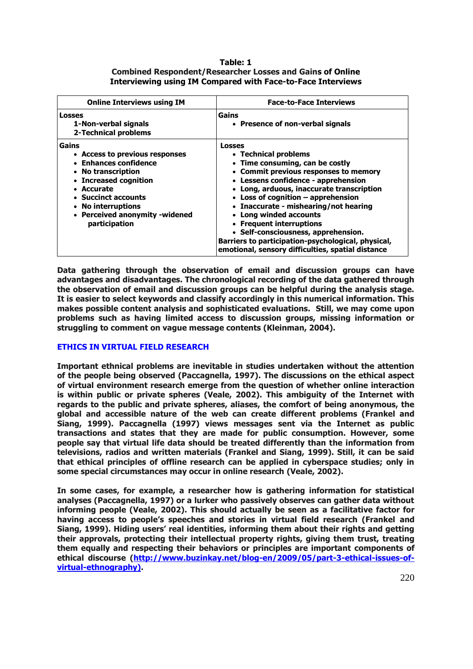## **Table: 1 Combined Respondent/Researcher Losses and Gains of Online Interviewing using IM Compared with Face-to-Face Interviews**

| <b>Online Interviews using IM</b>                                                                                                                                                                                             | <b>Face-to-Face Interviews</b>                                                                                                                                                                                                                                                                                                                                                                                                                                                                                   |
|-------------------------------------------------------------------------------------------------------------------------------------------------------------------------------------------------------------------------------|------------------------------------------------------------------------------------------------------------------------------------------------------------------------------------------------------------------------------------------------------------------------------------------------------------------------------------------------------------------------------------------------------------------------------------------------------------------------------------------------------------------|
| <b>Losses</b><br>1-Non-verbal signals<br><b>2-Technical problems</b>                                                                                                                                                          | Gains<br>• Presence of non-verbal signals                                                                                                                                                                                                                                                                                                                                                                                                                                                                        |
| Gains<br>• Access to previous responses<br>• Enhances confidence<br>• No transcription<br>• Increased cognition<br>• Accurate<br>• Succinct accounts<br>• No interruptions<br>• Perceived anonymity -widened<br>participation | <b>Losses</b><br>• Technical problems<br>• Time consuming, can be costly<br>• Commit previous responses to memory<br>• Lessens confidence - apprehension<br>• Long, arduous, inaccurate transcription<br>• Loss of cognition $-$ apprehension<br>• Inaccurate - mishearing/not hearing<br><b>Long winded accounts</b><br>$\bullet$<br>• Frequent interruptions<br>• Self-consciousness, apprehension.<br>Barriers to participation-psychological, physical,<br>emotional, sensory difficulties, spatial distance |

**Data gathering through the observation of email and discussion groups can have advantages and disadvantages. The chronological recording of the data gathered through the observation of email and discussion groups can be helpful during the analysis stage. It is easier to select keywords and classify accordingly in this numerical information. This makes possible content analysis and sophisticated evaluations. Still, we may come upon problems such as having limited access to discussion groups, missing information or struggling to comment on vague message contents (Kleinman, 2004).** 

# **ETHICS IN VIRTUAL FIELD RESEARCH**

**Important ethnical problems are inevitable in studies undertaken without the attention of the people being observed (Paccagnella, 1997). The discussions on the ethical aspect of virtual environment research emerge from the question of whether online interaction is within public or private spheres (Veale, 2002). This ambiguity of the Internet with regards to the public and private spheres, aliases, the comfort of being anonymous, the global and accessible nature of the web can create different problems (Frankel and Siang, 1999). Paccagnella (1997) views messages sent via the Internet as public transactions and states that they are made for public consumption. However, some people say that virtual life data should be treated differently than the information from televisions, radios and written materials (Frankel and Siang, 1999). Still, it can be said that ethical principles of offline research can be applied in cyberspace studies; only in some special circumstances may occur in online research (Veale, 2002).** 

**In some cases, for example, a researcher how is gathering information for statistical analyses (Paccagnella, 1997) or a lurker who passively observes can gather data without informing people (Veale, 2002). This should actually be seen as a facilitative factor for having access to people's speeches and stories in virtual field research (Frankel and Siang, 1999). Hiding users' real identities, informing them about their rights and getting their approvals, protecting their intellectual property rights, giving them trust, treating them equally and respecting their behaviors or principles are important components of**  ethical discourse [\(http://www.buzinkay.net/blog-en/2009/05/part-3-ethical-issues-](http://www.buzinkay.net/blog-en/2009/05/part-3-ethical-issues-of-virtual-ethnography))of**[virtual-ethnography\).](http://www.buzinkay.net/blog-en/2009/05/part-3-ethical-issues-of-virtual-ethnography))**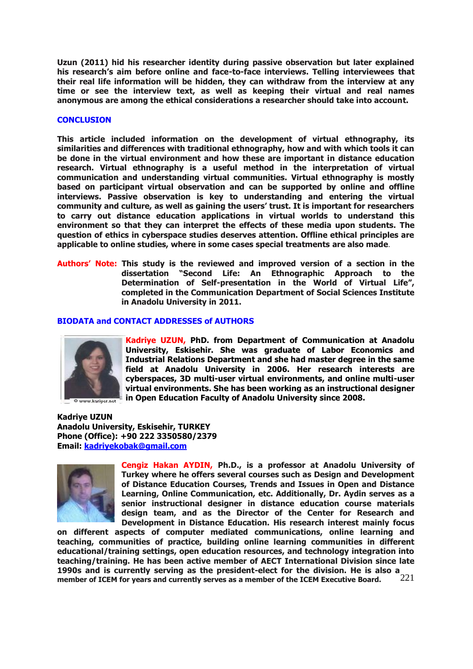**Uzun (2011) hid his researcher identity during passive observation but later explained his research's aim before online and face-to-face interviews. Telling interviewees that their real life information will be hidden, they can withdraw from the interview at any time or see the interview text, as well as keeping their virtual and real names anonymous are among the ethical considerations a researcher should take into account.** 

## **CONCLUSION**

**This article included information on the development of virtual ethnography, its similarities and differences with traditional ethnography, how and with which tools it can be done in the virtual environment and how these are important in distance education research. Virtual ethnography is a useful method in the interpretation of virtual communication and understanding virtual communities. Virtual ethnography is mostly based on participant virtual observation and can be supported by online and offline interviews. Passive observation is key to understanding and entering the virtual community and culture, as well as gaining the users' trust. It is important for researchers to carry out distance education applications in virtual worlds to understand this environment so that they can interpret the effects of these media upon students. The question of ethics in cyberspace studies deserves attention. Offline ethical principles are applicable to online studies, where in some cases special treatments are also made**.

**Authors' Note: This study is the reviewed and improved version of a section in the dissertation "Second Life: An Ethnographic Approach to the Determination of Self-presentation in the World of Virtual Life", completed in the Communication Department of Social Sciences Institute in Anadolu University in 2011.** 

## **BIODATA and CONTACT ADDRESSES of AUTHORS**



**Kadriye UZUN, PhD. from Department of Communication at Anadolu University, Eskisehir. She was graduate of Labor Economics and Industrial Relations Department and she had master degree in the same field at Anadolu University in 2006. Her research interests are cyberspaces, 3D multi-user virtual environments, and online multi-user virtual environments. She has been working as an instructional designer in Open Education Faculty of Anadolu University since 2008.**

**Kadriye UZUN Anadolu University, Eskisehir, TURKEY Phone (Office): +90 222 3350580/2379 Email: [kadriyekobak@gmail.com](mailto:kadriyekobak@gmail.com)** *140H*



**Cengiz Hakan AYDIN, Ph.D., is a professor at Anadolu University of Turkey where he offers several courses such as Design and Development of Distance Education Courses, Trends and Issues in Open and Distance Learning, Online Communication, etc. Additionally, Dr. Aydin serves as a senior instructional designer in distance education course materials design team, and as the Director of the Center for Research and Development in Distance Education. His research interest mainly focus** 

221 **on different aspects of computer mediated communications, online learning and teaching, communities of practice, building online learning communities in different educational/training settings, open education resources, and technology integration into teaching/training. He has been active member of AECT International Division since late 1990s and is currently serving as the president-elect for the division. He is also a member of ICEM for years and currently serves as a member of the ICEM Executive Board.**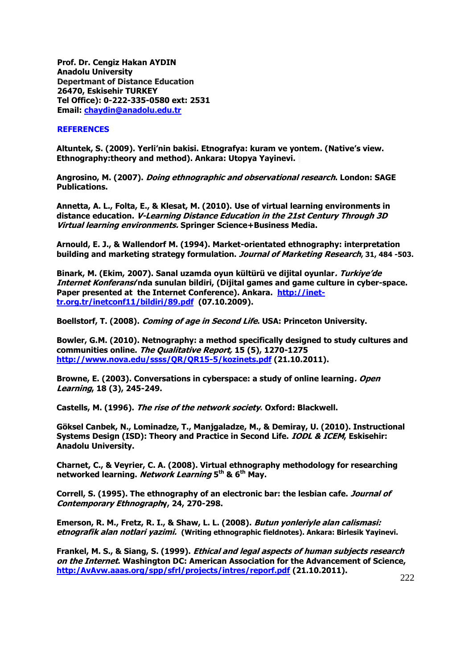**Prof. Dr. Cengiz Hakan AYDIN Anadolu University Depertmant of Distance Education 26470, Eskisehir TURKEY Tel Office): 0-222-335-0580 ext: 2531 Email: [chaydin@anadolu.edu.tr](mailto:chaydin@anadolu.edu.tr)** 

### **REFERENCES**

**Altuntek, S. (2009). Yerli'nin bakisi. Etnografya: kuram ve yontem. (Native's view. Ethnography:theory and method). Ankara: Utopya Yayinevi.** 

**Angrosino, M. (2007). Doing ethnographic and observational research. London: SAGE Publications.** 

**Annetta, A. L., Folta, E., & Klesat, M. (2010). Use of virtual learning environments in distance education. V-Learning Distance Education in the 21st Century Through 3D Virtual learning environments. Springer Science+Business Media.**

**Arnould, E. J., & Wallendorf M. (1994). Market-orientated ethnography: interpretation building and marketing strategy formulation. Journal of Marketing Research, 31, 484 -503.**

**Binark, M. (Ekim, 2007). Sanal uzamda oyun kültürü ve dijital oyunlar. Turkiye'de Internet Konferansı'nda sunulan bildiri, (Dijital games and game culture in cyber-space.**  Paper presented at the Internet Conference). Ankara. [http://inet](http://inet-tr.org.tr/inetconf11/bildiri/89.pdf)**[tr.org.tr/inetconf11/bildiri/89.pdf](http://inet-tr.org.tr/inetconf11/bildiri/89.pdf) (07.10.2009).** 

**Boellstorf, T. (2008). Coming of age in Second Life. USA: Princeton University.** 

**Bowler, G.M. (2010). Netnography: a method specifically designed to study cultures and communities online. The Qualitative Report, 15 (5), 1270-1275**  *143H***<http://www.nova.edu/ssss/QR/QR15-5/kozinets.pdf>(21.10.2011).** 

**Browne, E. (2003). Conversations in cyberspace: a study of online learning. Open Learning, 18 (3), 245-249.** 

**Castells, M. (1996). The rise of the network society. Oxford: Blackwell.** 

**Göksel Canbek, N., Lominadze, T., Manjgaladze, M., & Demiray, U. (2010). Instructional Systems Design (ISD): Theory and Practice in Second Life. IODL & ICEM, Eskisehir: Anadolu University.** 

**Charnet, C., & Veyrier, C. A. (2008). Virtual ethnography methodology for researching networked learning. Network Learning 5th & 6th May.** 

**Correll, S. (1995). The ethnography of an electronic bar: the lesbian cafe. Journal of Contemporary Ethnography, 24, 270-298.** 

**Emerson, R. M., Fretz, R. I., & Shaw, L. L. (2008). Butun yonleriyle alan calismasi: etnografik alan notlari yazimi. (Writing ethnographic fieldnotes). Ankara: Birlesik Yayinevi.**

**Frankel, M. S., & Siang, S. (1999). Ethical and legal aspects of human subjects research on the Internet. Washington DC: American Association for the Advancement of Science,**  *14H***[http:/AvAvw.aaas.org/spp/sfrl/projects/intres/reporf.pdf](http://avavw.aaas.org/spp/sfrl/projects/intres/reporf.pdf) (21.10.2011).**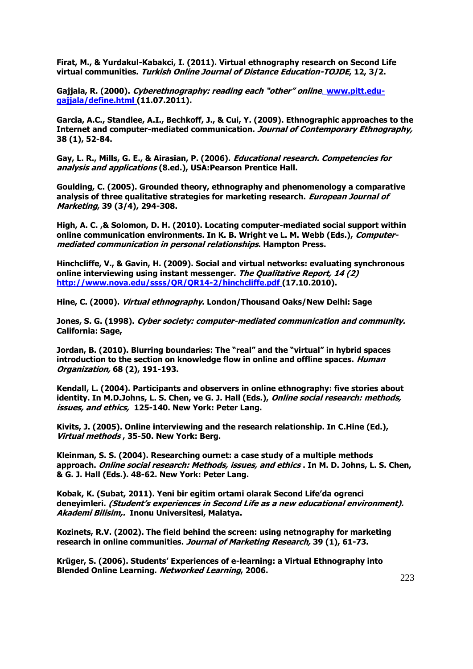**Firat, M., & Yurdakul-Kabakci, I. (2011). Virtual ethnography research on Second Life virtual communities. Turkish Online Journal of Distance Education-TOJDE, 12, 3/2.** 

Gajjala, R. (2000). Cyberethnography: reading each "other" online. [www.pitt.edu](http://www.pitt.edu-gajjala/define.html)**[gajjala/define.html](http://www.pitt.edu-gajjala/define.html) (11.07.2011).** 

**Garcia, A.C., Standlee, A.I., Bechkoff, J., & Cui, Y. (2009). Ethnographic approaches to the Internet and computer-mediated communication. Journal of Contemporary Ethnography, 38 (1), 52-84.** 

**Gay, L. R., Mills, G. E., & Airasian, P. (2006). Educational research. Competencies for analysis and applications (8.ed.), USA:Pearson Prentice Hall.** 

**Goulding, C. (2005). Grounded theory, ethnography and phenomenology a comparative analysis of three qualitative strategies for marketing research. European Journal of Marketing, 39 (3/4), 294-308.**

**High, A. C. ,& Solomon, D. H. (2010). Locating computer-mediated social support within online communication environments. In K. B. Wright ve L. M. Webb (Eds.), Computermediated communication in personal relationships. Hampton Press.** 

**Hinchcliffe, V., & Gavin, H. (2009). Social and virtual networks: evaluating synchronous online interviewing using instant messenger. The Qualitative Report, 14 (2) <http://www.nova.edu/ssss/QR/QR14-2/hinchcliffe.pdf>** [\(](http://www.nova.edu/ssss/QR/QR14-2/hinchcliffe.pdf)17.10.2010).

**Hine, C. (2000). Virtual ethnography. London/Thousand Oaks/New Delhi: Sage** 

**Jones, S. G. (1998). Cyber society: computer-mediated communication and community. California: Sage,** 

**Jordan, B. (2010). Blurring boundaries: The "real" and the "virtual" in hybrid spaces introduction to the section on knowledge flow in online and offline spaces. Human Organization, 68 (2), 191-193.** 

**Kendall, L. (2004). Participants and observers in online ethnography: five stories about identity. In M.D.Johns, L. S. Chen, ve G. J. Hall (Eds.), Online social research: methods, issues, and ethics, 125-140. New York: Peter Lang.** 

**Kivits, J. (2005). Online interviewing and the research relationship. In C.Hine (Ed.), Virtual methods , 35-50. New York: Berg.** 

**Kleinman, S. S. (2004). Researching ournet: a case study of a multiple methods approach. Online social research: Methods, issues, and ethics . In M. D. Johns, L. S. Chen, & G. J. Hall (Eds.). 48-62. New York: Peter Lang.** 

**Kobak, K. (Subat, 2011). Yeni bir egitim ortami olarak Second Life'da ogrenci deneyimleri. (Student's experiences in Second Life as a new educational environment). Akademi Bilisim,. Inonu Universitesi, Malatya.** 

**Kozinets, R.V. (2002). The field behind the screen: using netnography for marketing research in online communities. Journal of Marketing Research, 39 (1), 61-73.**

**Krüger, S. (2006). Students' Experiences of e-learning: a Virtual Ethnography into Blended Online Learning. Networked Learning, 2006.**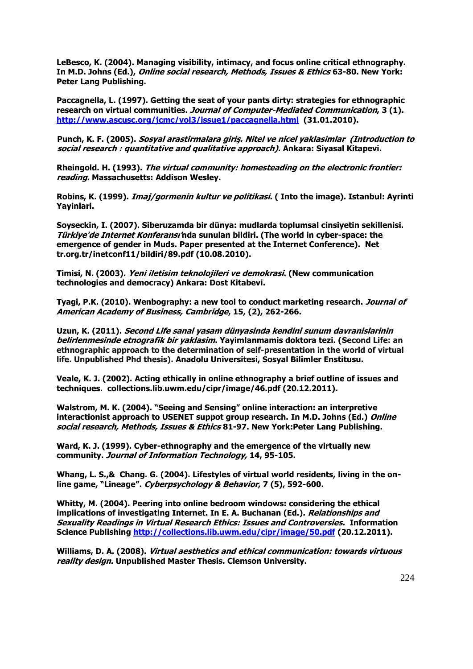**LeBesco, K. (2004). Managing visibility, intimacy, and focus online critical ethnography. In M.D. Johns (Ed.), Online social research, Methods, Issues & Ethics 63-80. New York: Peter Lang Publishing.** 

**Paccagnella, L. (1997). Getting the seat of your pants dirty: strategies for ethnographic research on virtual communities. Journal of Computer-Mediated Communication, 3 (1).**  *148H***[http://www.ascusc.org/jcmc/vol3/issue1/paccagnella.html](http://www.ascusc.org/%20jcmc/vol3/issue1/paccagnella.html) (31.01.2010).**

**Punch, K. F. (2005). Sosyal arastirmalara giriş. Nitel ve nicel yaklasimlar (Introduction to social research : quantitative and qualitative approach). Ankara: Siyasal Kitapevi.** 

**Rheingold. H. (1993). The virtual community: homesteading on the electronic frontier: reading. Massachusetts: Addison Wesley.** 

**Robins, K. (1999). Imaj/gormenin kultur ve politikasi. ( Into the image). Istanbul: Ayrinti Yayinlari.** 

**Soyseckin, I. (2007). Siberuzamda bir dünya: mudlarda toplumsal cinsiyetin sekillenisi. Türkiye'de Internet Konferansı'nda sunulan bildiri. (The world in cyber-space: the emergence of gender in Muds. Paper presented at the Internet Conference). Net tr.org.tr/inetconf11/bildiri/89.pdf (10.08.2010).**

**Timisi, N. (2003). Yeni iletisim teknolojileri ve demokrasi. (New communication technologies and democracy) Ankara: Dost Kitabevi.**

**Tyagi, P.K. (2010). Wenbography: a new tool to conduct marketing research. Journal of American Academy of Business, Cambridge, 15, (2), 262-266.**

**Uzun, K. (2011). Second Life sanal yasam dünyasinda kendini sunum davranislarinin belirlenmesinde etnografik bir yaklasim. Yayimlanmamis doktora tezi. (Second Life: an ethnographic approach to the determination of self-presentation in the world of virtual life. Unpublished Phd thesis). Anadolu Universitesi, Sosyal Bilimler Enstitusu.**

**Veale, K. J. (2002). Acting ethically in online ethnography a brief outline of issues and techniques. collections.lib.uwm.edu/cipr/image/46.pdf (20.12.2011).** 

**Walstrom, M. K. (2004). "Seeing and Sensing" online interaction: an interpretive interactionist approach to USENET suppot group research. In M.D. Johns (Ed.) Online social research, Methods, Issues & Ethics 81-97. New York:Peter Lang Publishing.** 

**Ward, K. J. (1999). Cyber-ethnography and the emergence of the virtually new community. Journal of Information Technology, 14, 95-105.**

**Whang, L. S.,& Chang. G. (2004). Lifestyles of virtual world residents, living in the online game, "Lineage". Cyberpsychology & Behavior, 7 (5), 592-600.**

**Whitty, M. (2004). Peering into online bedroom windows: considering the ethical implications of investigating Internet. In E. A. Buchanan (Ed.). Relationships and Sexuality Readings in Virtual Research Ethics: Issues and Controversies. Information Science Publishing <http://collections.lib.uwm.edu/cipr/image/50.pdf>(20.12.2011).** 

**Williams, D. A. (2008). Virtual aesthetics and ethical communication: towards virtuous reality design. Unpublished Master Thesis. Clemson University.**